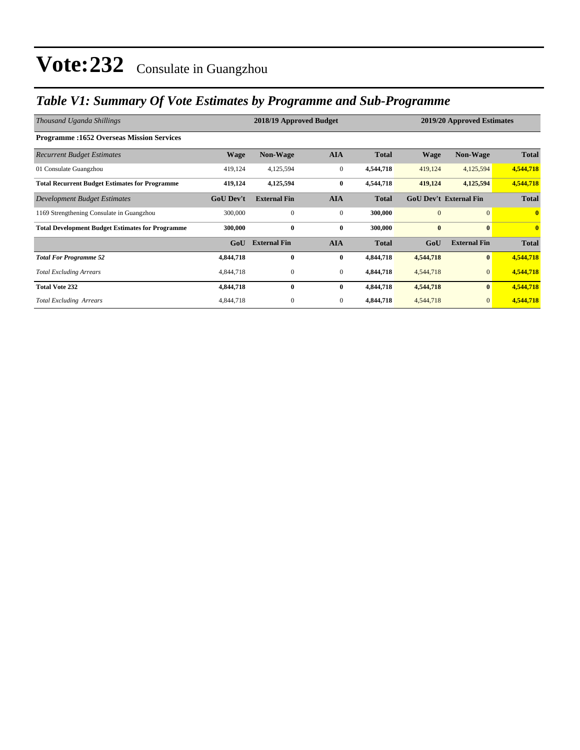### *Table V1: Summary Of Vote Estimates by Programme and Sub-Programme*

| Thousand Uganda Shillings                               |                  | 2018/19 Approved Budget |                | 2019/20 Approved Estimates |                               |                     |              |
|---------------------------------------------------------|------------------|-------------------------|----------------|----------------------------|-------------------------------|---------------------|--------------|
| <b>Programme: 1652 Overseas Mission Services</b>        |                  |                         |                |                            |                               |                     |              |
| <b>Recurrent Budget Estimates</b>                       | <b>Wage</b>      | <b>Non-Wage</b>         | <b>AIA</b>     | <b>Total</b>               | <b>Wage</b>                   | <b>Non-Wage</b>     | <b>Total</b> |
| 01 Consulate Guangzhou                                  | 419,124          | 4,125,594               | $\overline{0}$ | 4,544,718                  | 419,124                       | 4,125,594           | 4,544,718    |
| <b>Total Recurrent Budget Estimates for Programme</b>   | 419,124          | 4,125,594               | $\bf{0}$       | 4,544,718                  | 419,124                       | 4,125,594           | 4,544,718    |
| Development Budget Estimates                            | <b>GoU Dev't</b> | <b>External Fin</b>     | <b>AIA</b>     | <b>Total</b>               | <b>GoU Dev't External Fin</b> |                     | <b>Total</b> |
| 1169 Strengthening Consulate in Guangzhou               | 300,000          | $\Omega$                | $\overline{0}$ | 300,000                    | $\overline{0}$                | $\overline{0}$      | $\mathbf{0}$ |
| <b>Total Development Budget Estimates for Programme</b> | 300,000          | $\bf{0}$                | $\bf{0}$       | 300,000                    | $\bf{0}$                      | $\mathbf{0}$        | $\mathbf{0}$ |
|                                                         | GoU              | <b>External Fin</b>     | <b>AIA</b>     | <b>Total</b>               | GoU                           | <b>External Fin</b> | <b>Total</b> |
| <b>Total For Programme 52</b>                           | 4,844,718        | $\bf{0}$                | $\bf{0}$       | 4,844,718                  | 4,544,718                     | $\bf{0}$            | 4,544,718    |
| <b>Total Excluding Arrears</b>                          | 4,844,718        | $\mathbf{0}$            | $\overline{0}$ | 4,844,718                  | 4,544,718                     | $\mathbf{0}$        | 4,544,718    |
| <b>Total Vote 232</b>                                   | 4,844,718        | $\mathbf{0}$            | $\bf{0}$       | 4,844,718                  | 4,544,718                     | $\bf{0}$            | 4,544,718    |
| <b>Total Excluding Arrears</b>                          | 4,844,718        | 0                       | $\overline{0}$ | 4,844,718                  | 4,544,718                     | $\mathbf{0}$        | 4,544,718    |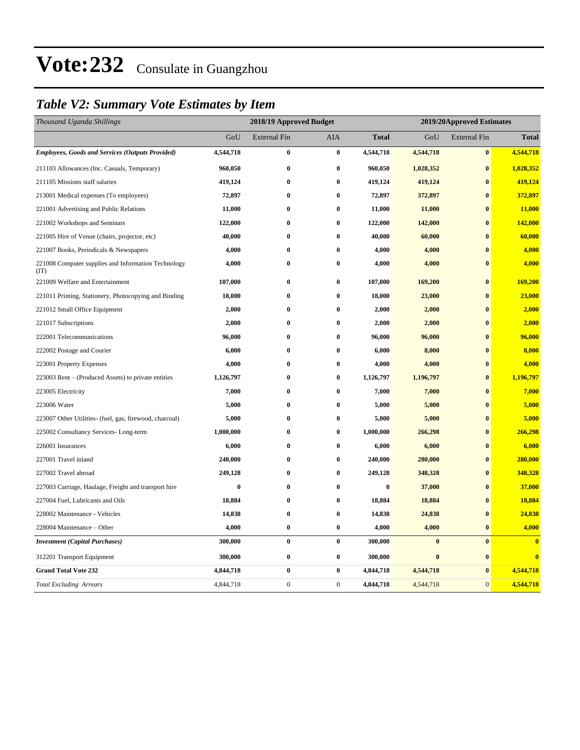### *Table V2: Summary Vote Estimates by Item*

| Thousand Uganda Shillings                                   | 2018/19 Approved Budget |                     |              |              | 2019/20Approved Estimates |                     |              |  |
|-------------------------------------------------------------|-------------------------|---------------------|--------------|--------------|---------------------------|---------------------|--------------|--|
|                                                             | GoU                     | <b>External Fin</b> | AIA          | <b>Total</b> | GoU                       | <b>External Fin</b> | <b>Total</b> |  |
| <b>Employees, Goods and Services (Outputs Provided)</b>     | 4,544,718               | $\bf{0}$            | $\bf{0}$     | 4,544,718    | 4,544,718                 | $\bf{0}$            | 4,544,718    |  |
| 211103 Allowances (Inc. Casuals, Temporary)                 | 960,050                 | $\bf{0}$            | $\bf{0}$     | 960,050      | 1,028,352                 | $\bf{0}$            | 1,028,352    |  |
| 211105 Missions staff salaries                              | 419,124                 | $\bf{0}$            | $\bf{0}$     | 419,124      | 419,124                   | $\bf{0}$            | 419,124      |  |
| 213001 Medical expenses (To employees)                      | 72,897                  | $\bf{0}$            | $\bf{0}$     | 72,897       | 372,897                   | $\bf{0}$            | 372,897      |  |
| 221001 Advertising and Public Relations                     | 11,000                  | $\bf{0}$            | $\bf{0}$     | 11,000       | 11,000                    | $\bf{0}$            | 11,000       |  |
| 221002 Workshops and Seminars                               | 122,000                 | $\bf{0}$            | $\bf{0}$     | 122,000      | 142,000                   | $\bf{0}$            | 142,000      |  |
| 221005 Hire of Venue (chairs, projector, etc)               | 40,000                  | $\bf{0}$            | $\bf{0}$     | 40,000       | 60,000                    | $\bf{0}$            | 60,000       |  |
| 221007 Books, Periodicals & Newspapers                      | 4,000                   | $\bf{0}$            | $\bf{0}$     | 4,000        | 4,000                     | $\mathbf{0}$        | 4,000        |  |
| 221008 Computer supplies and Information Technology<br>(TT) | 4,000                   | $\bf{0}$            | $\bf{0}$     | 4,000        | 4,000                     | $\bf{0}$            | 4,000        |  |
| 221009 Welfare and Entertainment                            | 107,000                 | $\bf{0}$            | $\bf{0}$     | 107,000      | 169,200                   | $\bf{0}$            | 169,200      |  |
| 221011 Printing, Stationery, Photocopying and Binding       | 18,000                  | $\bf{0}$            | $\bf{0}$     | 18,000       | 23,000                    | $\bf{0}$            | 23,000       |  |
| 221012 Small Office Equipment                               | 2,000                   | $\bf{0}$            | $\bf{0}$     | 2,000        | 2,000                     | $\bf{0}$            | 2,000        |  |
| 221017 Subscriptions                                        | 2,000                   | $\bf{0}$            | $\bf{0}$     | 2,000        | 2,000                     | $\bf{0}$            | 2,000        |  |
| 222001 Telecommunications                                   | 96,000                  | $\bf{0}$            | $\bf{0}$     | 96,000       | 96,000                    | $\bf{0}$            | 96,000       |  |
| 222002 Postage and Courier                                  | 6,000                   | $\bf{0}$            | $\bf{0}$     | 6,000        | 8,000                     | $\bf{0}$            | 8,000        |  |
| 223001 Property Expenses                                    | 4,000                   | $\bf{0}$            | $\bf{0}$     | 4,000        | 4,000                     | $\bf{0}$            | 4,000        |  |
| 223003 Rent – (Produced Assets) to private entities         | 1,126,797               | $\bf{0}$            | $\bf{0}$     | 1,126,797    | 1,196,797                 | $\bf{0}$            | 1,196,797    |  |
| 223005 Electricity                                          | 7,000                   | $\bf{0}$            | $\bf{0}$     | 7,000        | 7,000                     | $\mathbf{0}$        | 7,000        |  |
| 223006 Water                                                | 5,000                   | $\bf{0}$            | $\bf{0}$     | 5,000        | 5,000                     | $\bf{0}$            | 5,000        |  |
| 223007 Other Utilities- (fuel, gas, firewood, charcoal)     | 5,000                   | $\bf{0}$            | $\bf{0}$     | 5,000        | 5,000                     | $\bf{0}$            | 5,000        |  |
| 225002 Consultancy Services-Long-term                       | 1,000,000               | $\bf{0}$            | $\bf{0}$     | 1,000,000    | 266,298                   | $\bf{0}$            | 266,298      |  |
| 226001 Insurances                                           | 6,000                   | $\bf{0}$            | $\bf{0}$     | 6,000        | 6,000                     | $\bf{0}$            | 6,000        |  |
| 227001 Travel inland                                        | 240,000                 | $\bf{0}$            | $\bf{0}$     | 240,000      | 280,000                   | $\bf{0}$            | 280,000      |  |
| 227002 Travel abroad                                        | 249,128                 | $\bf{0}$            | $\bf{0}$     | 249,128      | 348,328                   | $\bf{0}$            | 348,328      |  |
| 227003 Carriage, Haulage, Freight and transport hire        | $\bf{0}$                | $\bf{0}$            | $\bf{0}$     | $\bf{0}$     | 37,000                    | $\bf{0}$            | 37,000       |  |
| 227004 Fuel, Lubricants and Oils                            | 18,884                  | $\bf{0}$            | $\bf{0}$     | 18,884       | 18,884                    | $\bf{0}$            | 18,884       |  |
| 228002 Maintenance - Vehicles                               | 14,838                  | $\bf{0}$            | $\bf{0}$     | 14,838       | 24,838                    | $\bf{0}$            | 24,838       |  |
| 228004 Maintenance – Other                                  | 4,000                   | $\bf{0}$            | $\bf{0}$     | 4,000        | 4,000                     | $\bf{0}$            | 4,000        |  |
| <b>Investment</b> (Capital Purchases)                       | 300,000                 | $\bf{0}$            | $\bf{0}$     | 300,000      | $\bf{0}$                  | $\pmb{0}$           | $\bf{0}$     |  |
| 312201 Transport Equipment                                  | 300,000                 | $\bf{0}$            | $\bf{0}$     | 300,000      | $\bf{0}$                  | $\bf{0}$            | $\bf{0}$     |  |
| <b>Grand Total Vote 232</b>                                 | 4,844,718               | $\bf{0}$            | $\bf{0}$     | 4,844,718    | 4,544,718                 | $\bf{0}$            | 4,544,718    |  |
| <b>Total Excluding Arrears</b>                              | 4,844,718               | $\mathbf{0}$        | $\mathbf{0}$ | 4,844,718    | 4,544,718                 | $\overline{0}$      | 4,544,718    |  |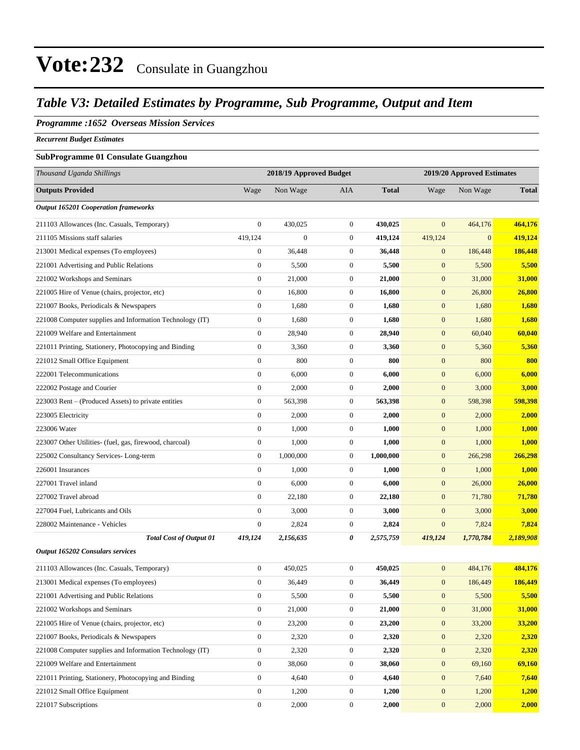### *Table V3: Detailed Estimates by Programme, Sub Programme, Output and Item*

### *Programme :1652 Overseas Mission Services*

*Recurrent Budget Estimates*

### **SubProgramme 01 Consulate Guangzhou**

| Thousand Uganda Shillings                                | 2018/19 Approved Budget |                |                  | 2019/20 Approved Estimates |                  |              |              |
|----------------------------------------------------------|-------------------------|----------------|------------------|----------------------------|------------------|--------------|--------------|
| <b>Outputs Provided</b>                                  | Wage                    | Non Wage       | <b>AIA</b>       | <b>Total</b>               | Wage             | Non Wage     | <b>Total</b> |
| <b>Output 165201 Cooperation frameworks</b>              |                         |                |                  |                            |                  |              |              |
| 211103 Allowances (Inc. Casuals, Temporary)              | $\mathbf{0}$            | 430,025        | $\boldsymbol{0}$ | 430,025                    | $\overline{0}$   | 464,176      | 464,176      |
| 211105 Missions staff salaries                           | 419,124                 | $\overline{0}$ | $\boldsymbol{0}$ | 419,124                    | 419,124          | $\mathbf{0}$ | 419,124      |
| 213001 Medical expenses (To employees)                   | $\boldsymbol{0}$        | 36,448         | $\boldsymbol{0}$ | 36,448                     | $\mathbf{0}$     | 186,448      | 186,448      |
| 221001 Advertising and Public Relations                  | $\boldsymbol{0}$        | 5,500          | $\boldsymbol{0}$ | 5,500                      | $\boldsymbol{0}$ | 5,500        | 5,500        |
| 221002 Workshops and Seminars                            | $\boldsymbol{0}$        | 21,000         | $\boldsymbol{0}$ | 21,000                     | $\boldsymbol{0}$ | 31,000       | 31,000       |
| 221005 Hire of Venue (chairs, projector, etc)            | $\boldsymbol{0}$        | 16,800         | $\boldsymbol{0}$ | 16,800                     | $\mathbf{0}$     | 26,800       | 26,800       |
| 221007 Books, Periodicals & Newspapers                   | $\boldsymbol{0}$        | 1,680          | $\boldsymbol{0}$ | 1,680                      | $\mathbf{0}$     | 1,680        | 1,680        |
| 221008 Computer supplies and Information Technology (IT) | $\boldsymbol{0}$        | 1,680          | $\boldsymbol{0}$ | 1,680                      | $\mathbf{0}$     | 1,680        | 1,680        |
| 221009 Welfare and Entertainment                         | $\boldsymbol{0}$        | 28,940         | $\boldsymbol{0}$ | 28,940                     | $\boldsymbol{0}$ | 60,040       | 60,040       |
| 221011 Printing, Stationery, Photocopying and Binding    | $\boldsymbol{0}$        | 3,360          | $\boldsymbol{0}$ | 3,360                      | $\boldsymbol{0}$ | 5,360        | 5,360        |
| 221012 Small Office Equipment                            | $\boldsymbol{0}$        | 800            | $\boldsymbol{0}$ | 800                        | $\mathbf{0}$     | 800          | 800          |
| 222001 Telecommunications                                | $\boldsymbol{0}$        | 6,000          | $\boldsymbol{0}$ | 6,000                      | $\mathbf{0}$     | 6,000        | 6,000        |
| 222002 Postage and Courier                               | $\boldsymbol{0}$        | 2,000          | $\boldsymbol{0}$ | 2,000                      | $\boldsymbol{0}$ | 3,000        | 3,000        |
| 223003 Rent – (Produced Assets) to private entities      | $\boldsymbol{0}$        | 563,398        | $\boldsymbol{0}$ | 563,398                    | $\boldsymbol{0}$ | 598,398      | 598,398      |
| 223005 Electricity                                       | $\boldsymbol{0}$        | 2,000          | $\boldsymbol{0}$ | 2,000                      | $\boldsymbol{0}$ | 2,000        | 2,000        |
| 223006 Water                                             | $\boldsymbol{0}$        | 1,000          | $\boldsymbol{0}$ | 1,000                      | $\mathbf{0}$     | 1,000        | 1,000        |
| 223007 Other Utilities- (fuel, gas, firewood, charcoal)  | $\boldsymbol{0}$        | 1,000          | $\boldsymbol{0}$ | 1,000                      | $\boldsymbol{0}$ | 1,000        | 1,000        |
| 225002 Consultancy Services-Long-term                    | $\boldsymbol{0}$        | 1,000,000      | $\boldsymbol{0}$ | 1,000,000                  | $\mathbf{0}$     | 266,298      | 266,298      |
| 226001 Insurances                                        | $\boldsymbol{0}$        | 1,000          | $\boldsymbol{0}$ | 1,000                      | $\boldsymbol{0}$ | 1,000        | 1,000        |
| 227001 Travel inland                                     | $\boldsymbol{0}$        | 6,000          | $\boldsymbol{0}$ | 6,000                      | $\boldsymbol{0}$ | 26,000       | 26,000       |
| 227002 Travel abroad                                     | $\boldsymbol{0}$        | 22,180         | $\boldsymbol{0}$ | 22,180                     | $\boldsymbol{0}$ | 71,780       | 71,780       |
| 227004 Fuel, Lubricants and Oils                         | $\boldsymbol{0}$        | 3,000          | $\boldsymbol{0}$ | 3,000                      | $\boldsymbol{0}$ | 3,000        | 3,000        |
| 228002 Maintenance - Vehicles                            | $\boldsymbol{0}$        | 2,824          | $\mathbf{0}$     | 2,824                      | $\boldsymbol{0}$ | 7,824        | 7,824        |
| <b>Total Cost of Output 01</b>                           | 419,124                 | 2,156,635      | 0                | 2,575,759                  | 419,124          | 1,770,784    | 2,189,908    |
| Output 165202 Consulars services                         |                         |                |                  |                            |                  |              |              |
| 211103 Allowances (Inc. Casuals, Temporary)              | $\boldsymbol{0}$        | 450,025        | $\boldsymbol{0}$ | 450,025                    | $\boldsymbol{0}$ | 484,176      | 484,176      |
| 213001 Medical expenses (To employees)                   | $\boldsymbol{0}$        | 36,449         | $\boldsymbol{0}$ | 36,449                     | $\boldsymbol{0}$ | 186,449      | 186,449      |
| 221001 Advertising and Public Relations                  | $\boldsymbol{0}$        | 5,500          | $\boldsymbol{0}$ | 5,500                      | $\mathbf{0}$     | 5,500        | 5,500        |
| 221002 Workshops and Seminars                            | $\boldsymbol{0}$        | 21,000         | $\boldsymbol{0}$ | 21,000                     | $\boldsymbol{0}$ | 31,000       | 31,000       |
| 221005 Hire of Venue (chairs, projector, etc)            | $\boldsymbol{0}$        | 23,200         | $\boldsymbol{0}$ | 23,200                     | $\boldsymbol{0}$ | 33,200       | 33,200       |
| 221007 Books, Periodicals & Newspapers                   | $\boldsymbol{0}$        | 2,320          | $\boldsymbol{0}$ | 2,320                      | $\mathbf{0}$     | 2,320        | 2,320        |
| 221008 Computer supplies and Information Technology (IT) | $\boldsymbol{0}$        | 2,320          | $\boldsymbol{0}$ | 2,320                      | $\boldsymbol{0}$ | 2,320        | 2,320        |
| 221009 Welfare and Entertainment                         | $\boldsymbol{0}$        | 38,060         | $\boldsymbol{0}$ | 38,060                     | $\mathbf{0}$     | 69,160       | 69,160       |
| 221011 Printing, Stationery, Photocopying and Binding    | $\boldsymbol{0}$        | 4,640          | $\boldsymbol{0}$ | 4,640                      | $\boldsymbol{0}$ | 7,640        | 7,640        |
| 221012 Small Office Equipment                            | $\boldsymbol{0}$        | 1,200          | $\boldsymbol{0}$ | 1,200                      | $\boldsymbol{0}$ | 1,200        | 1,200        |
| 221017 Subscriptions                                     | $\boldsymbol{0}$        | 2,000          | $\boldsymbol{0}$ | 2,000                      | $\boldsymbol{0}$ | 2,000        | 2,000        |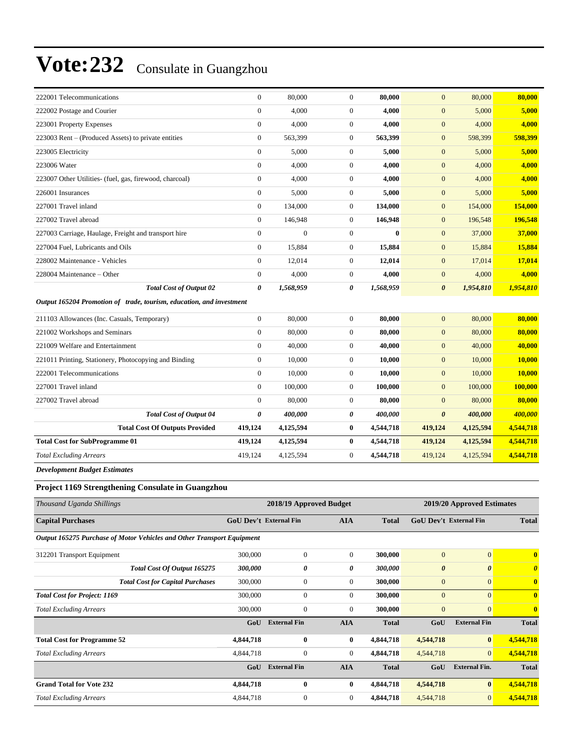| 222001 Telecommunications                                              | $\boldsymbol{0}$                            | 80,000           | $\boldsymbol{0}$ | 80,000                 | $\mathbf{0}$               | 80,000           | 80,000                |
|------------------------------------------------------------------------|---------------------------------------------|------------------|------------------|------------------------|----------------------------|------------------|-----------------------|
| 222002 Postage and Courier                                             | $\boldsymbol{0}$                            | 4,000            | $\boldsymbol{0}$ | 4,000                  | $\mathbf{0}$               | 5,000            | 5,000                 |
| 223001 Property Expenses                                               | $\mathbf{0}$                                | 4,000            | $\boldsymbol{0}$ | 4,000                  | $\mathbf{0}$               | 4,000            | 4,000                 |
| 223003 Rent – (Produced Assets) to private entities                    | $\boldsymbol{0}$                            | 563,399          | $\boldsymbol{0}$ | 563,399                | $\mathbf{0}$               | 598,399          | 598,399               |
| 223005 Electricity                                                     | $\boldsymbol{0}$                            | 5,000            | $\boldsymbol{0}$ | 5,000                  | $\mathbf{0}$               | 5,000            | 5,000                 |
| 223006 Water                                                           | $\mathbf{0}$                                | 4,000            | $\boldsymbol{0}$ | 4,000                  | $\mathbf{0}$               | 4,000            | 4,000                 |
| 223007 Other Utilities- (fuel, gas, firewood, charcoal)                | $\boldsymbol{0}$                            | 4,000            | $\boldsymbol{0}$ | 4,000                  | $\mathbf{0}$               | 4,000            | 4,000                 |
| 226001 Insurances                                                      | $\mathbf{0}$                                | 5,000            | $\boldsymbol{0}$ | 5,000                  | $\mathbf{0}$               | 5,000            | 5,000                 |
| 227001 Travel inland                                                   | $\mathbf{0}$                                | 134,000          | $\boldsymbol{0}$ | 134,000                | $\mathbf{0}$               | 154,000          | 154,000               |
| 227002 Travel abroad                                                   | $\boldsymbol{0}$                            | 146,948          | $\boldsymbol{0}$ | 146,948                | $\mathbf{0}$               | 196,548          | 196,548               |
| 227003 Carriage, Haulage, Freight and transport hire                   | $\mathbf{0}$                                | $\boldsymbol{0}$ | $\boldsymbol{0}$ | $\bf{0}$               | $\mathbf{0}$               | 37,000           | 37,000                |
| 227004 Fuel, Lubricants and Oils                                       | $\boldsymbol{0}$                            | 15,884           | $\overline{0}$   | 15,884                 | $\boldsymbol{0}$           | 15,884           | 15,884                |
| 228002 Maintenance - Vehicles                                          | $\mathbf{0}$                                | 12,014           | $\boldsymbol{0}$ | 12,014                 | $\mathbf{0}$               | 17,014           | 17,014                |
| 228004 Maintenance – Other                                             | $\boldsymbol{0}$                            | 4,000            | $\boldsymbol{0}$ | 4,000                  | $\mathbf{0}$               | 4,000            | 4,000                 |
| <b>Total Cost of Output 02</b>                                         | 0                                           | 1,568,959        | 0                | 1,568,959              | $\boldsymbol{\theta}$      | 1,954,810        | 1,954,810             |
| Output 165204 Promotion of trade, tourism, education, and investment   |                                             |                  |                  |                        |                            |                  |                       |
| 211103 Allowances (Inc. Casuals, Temporary)                            | $\boldsymbol{0}$                            | 80,000           | $\boldsymbol{0}$ | 80,000                 | $\mathbf{0}$               | 80,000           | 80,000                |
| 221002 Workshops and Seminars                                          | $\mathbf{0}$                                | 80,000           | $\boldsymbol{0}$ | 80,000                 | $\mathbf{0}$               | 80,000           | 80,000                |
| 221009 Welfare and Entertainment                                       | $\mathbf{0}$                                | 40,000           | $\boldsymbol{0}$ | 40,000                 | $\mathbf{0}$               | 40,000           | 40,000                |
| 221011 Printing, Stationery, Photocopying and Binding                  | $\boldsymbol{0}$                            | 10,000           | $\boldsymbol{0}$ | 10,000                 | $\mathbf{0}$               | 10,000           | 10,000                |
| 222001 Telecommunications                                              | $\boldsymbol{0}$                            | 10,000           | $\boldsymbol{0}$ | 10,000                 | $\mathbf{0}$               | 10,000           | 10,000                |
| 227001 Travel inland                                                   | $\mathbf{0}$                                | 100,000          | $\boldsymbol{0}$ | 100,000                | $\mathbf{0}$               | 100,000          | 100,000               |
| 227002 Travel abroad                                                   | $\mathbf{0}$                                | 80,000           | $\boldsymbol{0}$ | 80,000                 | $\mathbf{0}$               | 80,000           | 80,000                |
| <b>Total Cost of Output 04</b>                                         | $\boldsymbol{\theta}$                       | 400,000          | 0                | 400,000                | $\boldsymbol{\theta}$      | 400,000          | 400,000               |
| <b>Total Cost Of Outputs Provided</b>                                  | 419,124                                     | 4,125,594        | $\bf{0}$         | 4,544,718              | 419,124                    | 4,125,594        | 4,544,718             |
| <b>Total Cost for SubProgramme 01</b>                                  | 419,124                                     | 4,125,594        | $\bf{0}$         | 4,544,718              | 419,124                    | 4,125,594        | 4,544,718             |
| <b>Total Excluding Arrears</b>                                         | 419,124                                     | 4,125,594        | $\boldsymbol{0}$ | 4,544,718              | 419,124                    | 4,125,594        | 4,544,718             |
| <b>Development Budget Estimates</b>                                    |                                             |                  |                  |                        |                            |                  |                       |
| Project 1169 Strengthening Consulate in Guangzhou                      |                                             |                  |                  |                        |                            |                  |                       |
| Thousand Uganda Shillings                                              | 2018/19 Approved Budget                     |                  |                  |                        | 2019/20 Approved Estimates |                  |                       |
| <b>Capital Purchases</b>                                               | <b>GoU Dev't External Fin</b><br><b>AIA</b> |                  | <b>Total</b>     | GoU Dev't External Fin |                            | <b>Total</b>     |                       |
| Output 165275 Purchase of Motor Vehicles and Other Transport Equipment |                                             |                  |                  |                        |                            |                  |                       |
| 312201 Transport Equipment                                             | 300,000                                     | $\boldsymbol{0}$ | $\boldsymbol{0}$ | 300,000                | $\mathbf{0}$               | $\mathbf{0}$     | $\bf{0}$              |
| Total Cost Of Output 165275                                            | 300,000                                     | 0                | 0                | 300,000                | $\boldsymbol{\theta}$      | 0                | $\boldsymbol{\theta}$ |
| <b>Total Cost for Capital Purchases</b>                                | 300,000                                     | $\boldsymbol{0}$ | 0                | 300,000                | $\boldsymbol{0}$           | $\mathbf{0}$     | $\bf{0}$              |
| <b>Total Cost for Project: 1169</b>                                    | 300,000                                     | $\boldsymbol{0}$ | $\boldsymbol{0}$ | 300,000                | $\boldsymbol{0}$           | $\boldsymbol{0}$ | $\bf{0}$              |
| <b>Total Excluding Arrears</b>                                         | 300,000                                     | $\boldsymbol{0}$ | $\mathbf{0}$     | 300,000                | $\boldsymbol{0}$           | $\mathbf{0}$     | $\bf{0}$              |

**Total Cost for Programme 52 4,844,718 0 0 4,844,718 4,544,718 0 4,544,718** *Total Excluding Arrears* 4,844,718 0 0 **4,844,718** 4,544,718 0 **4,544,718**

**Grand Total for Vote 232 4,844,718 0 0 4,844,718 4,544,718 0 4,544,718** *Total Excluding Arrears* 4,844,718 0 0 **4,844,718** 4,544,718 0 **4,544,718**

**GoU External Fin AIA Total GoU External Fin Total**

**GoU External Fin AIA Total GoU External Fin. Total**